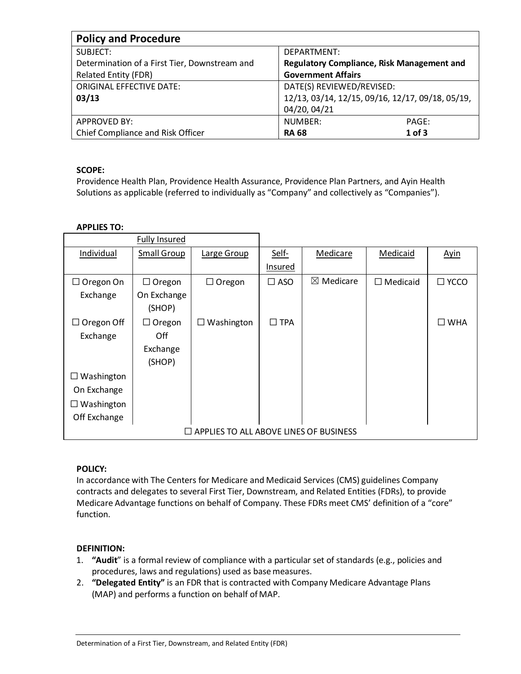| <b>Policy and Procedure</b>                   |                                                   |          |
|-----------------------------------------------|---------------------------------------------------|----------|
| SUBJECT:                                      | DEPARTMENT:                                       |          |
| Determination of a First Tier, Downstream and | <b>Regulatory Compliance, Risk Management and</b> |          |
| <b>Related Entity (FDR)</b>                   | <b>Government Affairs</b>                         |          |
| <b>ORIGINAL EFFECTIVE DATE:</b>               | DATE(S) REVIEWED/REVISED:                         |          |
| 03/13                                         | 12/13, 03/14, 12/15, 09/16, 12/17, 09/18, 05/19,  |          |
|                                               | 04/20, 04/21                                      |          |
| <b>APPROVED BY:</b>                           | NUMBER:                                           | PAGE:    |
| Chief Compliance and Risk Officer             | <b>RA 68</b>                                      | $1$ of 3 |

# **SCOPE:**

Providence Health Plan, Providence Health Assurance, Providence Plan Partners, and Ayin Health Solutions as applicable (referred to individually as "Company" and collectively as "Companies").

# **APPLIES TO:**

|                                        | <b>Fully Insured</b> |                   |               |                      |                 |               |
|----------------------------------------|----------------------|-------------------|---------------|----------------------|-----------------|---------------|
| Individual                             | <b>Small Group</b>   | Large Group       | Self-         | Medicare             | Medicaid        | <b>Ayin</b>   |
|                                        |                      |                   | Insured       |                      |                 |               |
| $\Box$ Oregon On                       | $\Box$ Oregon        | $\Box$ Oregon     | $\square$ ASO | $\boxtimes$ Medicare | $\Box$ Medicaid | $\Box$ YCCO   |
| Exchange                               | On Exchange          |                   |               |                      |                 |               |
|                                        | (SHOP)               |                   |               |                      |                 |               |
| $\Box$ Oregon Off                      | $\Box$ Oregon        | $\Box$ Washington | $\square$ TPA |                      |                 | $\square$ WHA |
| Exchange                               | Off                  |                   |               |                      |                 |               |
|                                        | Exchange             |                   |               |                      |                 |               |
|                                        | (SHOP)               |                   |               |                      |                 |               |
| $\Box$ Washington                      |                      |                   |               |                      |                 |               |
| On Exchange                            |                      |                   |               |                      |                 |               |
| Washington                             |                      |                   |               |                      |                 |               |
| Off Exchange                           |                      |                   |               |                      |                 |               |
| APPLIES TO ALL ABOVE LINES OF BUSINESS |                      |                   |               |                      |                 |               |

## **POLICY:**

In accordance with The Centers for Medicare and Medicaid Services (CMS) guidelines Company contracts and delegates to several First Tier, Downstream, and Related Entities (FDRs), to provide Medicare Advantage functions on behalf of Company. These FDRs meet CMS' definition of a "core" function.

## **DEFINITION:**

- 1. **"Audit**" is a formal review of compliance with a particular set of standards (e.g., policies and procedures, laws and regulations) used as basemeasures.
- 2. **"Delegated Entity"** is an FDR that is contracted with Company Medicare Advantage Plans (MAP) and performs a function on behalf of MAP.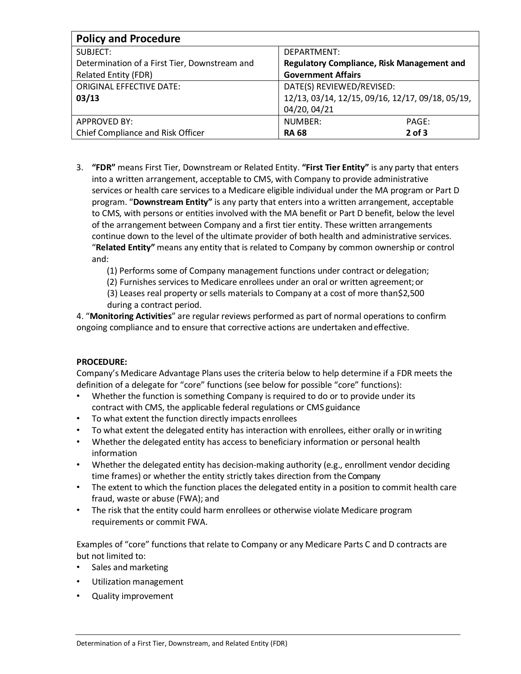| <b>Policy and Procedure</b>                   |                                                  |            |  |  |  |
|-----------------------------------------------|--------------------------------------------------|------------|--|--|--|
| SUBJECT:                                      | DEPARTMENT:                                      |            |  |  |  |
| Determination of a First Tier, Downstream and | Regulatory Compliance, Risk Management and       |            |  |  |  |
| <b>Related Entity (FDR)</b>                   | <b>Government Affairs</b>                        |            |  |  |  |
| <b>ORIGINAL EFFECTIVE DATE:</b>               | DATE(S) REVIEWED/REVISED:                        |            |  |  |  |
| 03/13                                         | 12/13, 03/14, 12/15, 09/16, 12/17, 09/18, 05/19, |            |  |  |  |
|                                               | 04/20, 04/21                                     |            |  |  |  |
| <b>APPROVED BY:</b>                           | NUMBER:                                          | PAGE:      |  |  |  |
| Chief Compliance and Risk Officer             | <b>RA 68</b>                                     | $2$ of $3$ |  |  |  |

3. **"FDR"** means First Tier, Downstream or Related Entity. **"First Tier Entity"** is any party that enters into a written arrangement, acceptable to CMS, with Company to provide administrative services or health care services to a Medicare eligible individual under the MA program or Part D program. "**Downstream Entity"** is any party that enters into a written arrangement, acceptable to CMS, with persons or entities involved with the MA benefit or Part D benefit, below the level of the arrangement between Company and a first tier entity. These written arrangements continue down to the level of the ultimate provider of both health and administrative services. "**Related Entity"** means any entity that is related to Company by common ownership or control and:

(1) Performs some of Company management functions under contract or delegation;

(2) Furnishes services to Medicare enrollees under an oral or written agreement;or

(3) Leases real property or sells materials to Company at a cost of more than\$2,500 during a contract period.

4. "**Monitoring Activities**" are regular reviews performed as part of normal operations to confirm ongoing compliance and to ensure that corrective actions are undertaken andeffective.

## **PROCEDURE:**

Company's Medicare Advantage Plans uses the criteria below to help determine if a FDR meets the definition of a delegate for "core" functions (see below for possible "core" functions):

- Whether the function is something Company is required to do or to provide under its contract with CMS, the applicable federal regulations or CMS guidance
- To what extent the function directly impacts enrollees
- To what extent the delegated entity has interaction with enrollees, either orally or inwriting
- Whether the delegated entity has access to beneficiary information or personal health information
- Whether the delegated entity has decision-making authority (e.g., enrollment vendor deciding time frames) or whether the entity strictly takes direction from the Company
- The extent to which the function places the delegated entity in a position to commit health care fraud, waste or abuse (FWA); and
- The risk that the entity could harm enrollees or otherwise violate Medicare program requirements or commit FWA.

Examples of "core" functions that relate to Company or any Medicare Parts C and D contracts are but not limited to:

- Sales and marketing
- Utilization management
- Quality improvement